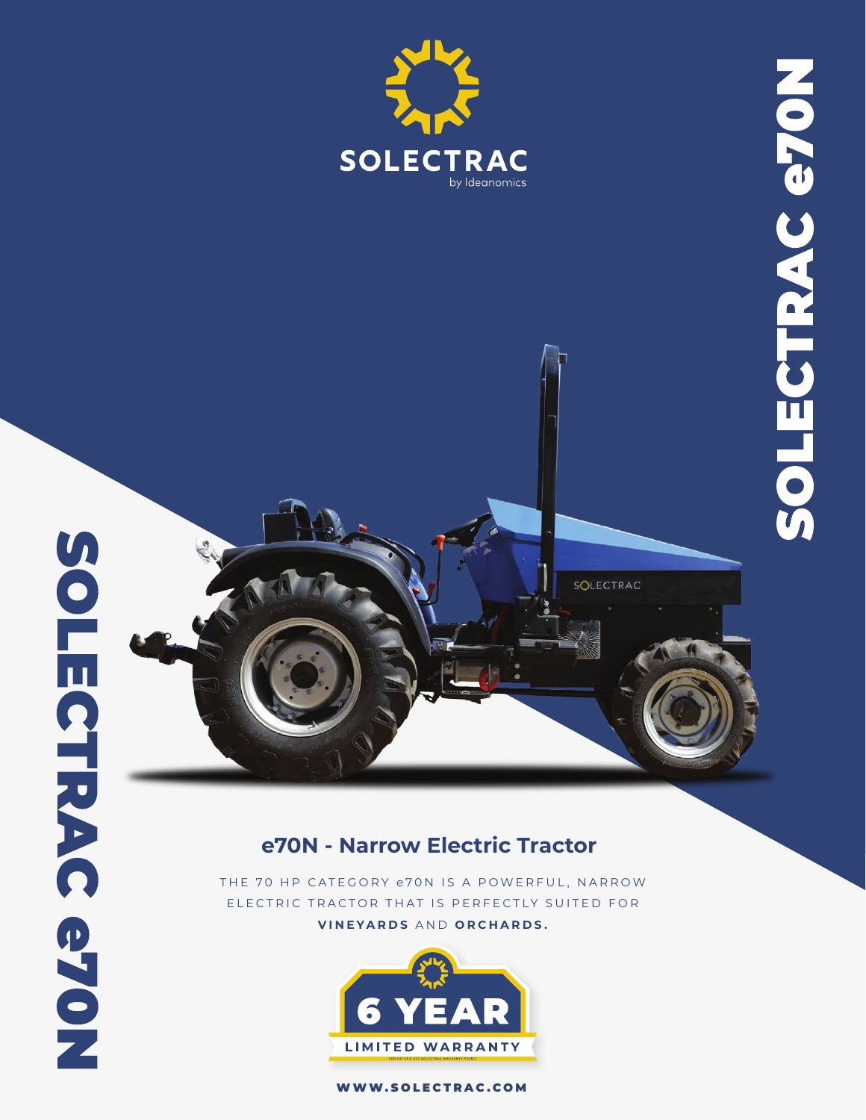

# **e70N - Narrow Electric Tractor**

SOLECTRAC

THE 70 HP CATEGORY e70N IS A POWERFUL, NARROW ELECTRIC TRACTOR THAT IS PERFECTLY SUITED FOR **VINEYARDS** AND **ORCHARDS.** 



WWW.SOLECTRAC.COM